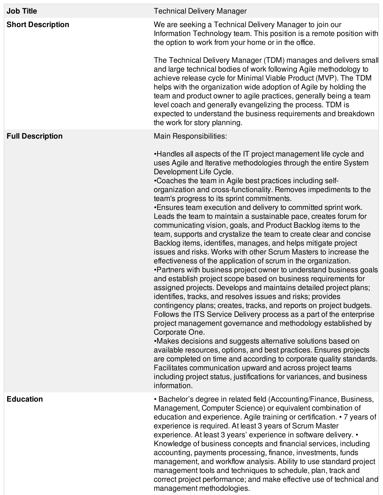| <b>Job Title</b>         | <b>Technical Delivery Manager</b>                                                                                                                                                                                                                                                                                                                                                                                                                                                                                                                                                                                                                                                                                                                                                                                                                                                                                                                                                                                                                                                                                                                                                                                                                                                                                                                                                                                                                                                                                                                                                                                                                                                                                   |
|--------------------------|---------------------------------------------------------------------------------------------------------------------------------------------------------------------------------------------------------------------------------------------------------------------------------------------------------------------------------------------------------------------------------------------------------------------------------------------------------------------------------------------------------------------------------------------------------------------------------------------------------------------------------------------------------------------------------------------------------------------------------------------------------------------------------------------------------------------------------------------------------------------------------------------------------------------------------------------------------------------------------------------------------------------------------------------------------------------------------------------------------------------------------------------------------------------------------------------------------------------------------------------------------------------------------------------------------------------------------------------------------------------------------------------------------------------------------------------------------------------------------------------------------------------------------------------------------------------------------------------------------------------------------------------------------------------------------------------------------------------|
| <b>Short Description</b> | We are seeking a Technical Delivery Manager to join our<br>Information Technology team. This position is a remote position with<br>the option to work from your home or in the office.<br>The Technical Delivery Manager (TDM) manages and delivers small<br>and large technical bodies of work following Agile methodology to<br>achieve release cycle for Minimal Viable Product (MVP). The TDM<br>helps with the organization wide adoption of Agile by holding the<br>team and product owner to agile practices, generally being a team<br>level coach and generally evangelizing the process. TDM is<br>expected to understand the business requirements and breakdown<br>the work for story planning.                                                                                                                                                                                                                                                                                                                                                                                                                                                                                                                                                                                                                                                                                                                                                                                                                                                                                                                                                                                                         |
| <b>Full Description</b>  | Main Responsibilities:                                                                                                                                                                                                                                                                                                                                                                                                                                                                                                                                                                                                                                                                                                                                                                                                                                                                                                                                                                                                                                                                                                                                                                                                                                                                                                                                                                                                                                                                                                                                                                                                                                                                                              |
|                          | •Handles all aspects of the IT project management life cycle and<br>uses Agile and Iterative methodologies through the entire System<br>Development Life Cycle.<br>•Coaches the team in Agile best practices including self-<br>organization and cross-functionality. Removes impediments to the<br>team's progress to its sprint commitments.<br>. Ensures team execution and delivery to committed sprint work.<br>Leads the team to maintain a sustainable pace, creates forum for<br>communicating vision, goals, and Product Backlog items to the<br>team, supports and crystalize the team to create clear and concise<br>Backlog items, identifies, manages, and helps mitigate project<br>issues and risks. Works with other Scrum Masters to increase the<br>effectiveness of the application of scrum in the organization.<br>•Partners with business project owner to understand business goals<br>and establish project scope based on business requirements for<br>assigned projects. Develops and maintains detailed project plans;<br>identifies, tracks, and resolves issues and risks; provides<br>contingency plans; creates, tracks, and reports on project budgets.<br>Follows the ITS Service Delivery process as a part of the enterprise<br>project management governance and methodology established by<br>Corporate One.<br>•Makes decisions and suggests alternative solutions based on<br>available resources, options, and best practices. Ensures projects<br>are completed on time and according to corporate quality standards.<br>Facilitates communication upward and across project teams<br>including project status, justifications for variances, and business<br>information. |
| <b>Education</b>         | • Bachelor's degree in related field (Accounting/Finance, Business,<br>Management, Computer Science) or equivalent combination of<br>education and experience. Agile training or certification. • 7 years of<br>experience is required. At least 3 years of Scrum Master<br>experience. At least 3 years' experience in software delivery. •<br>Knowledge of business concepts and financial services, including<br>accounting, payments processing, finance, investments, funds<br>management, and workflow analysis. Ability to use standard project<br>management tools and techniques to schedule, plan, track and<br>correct project performance; and make effective use of technical and<br>management methodologies.                                                                                                                                                                                                                                                                                                                                                                                                                                                                                                                                                                                                                                                                                                                                                                                                                                                                                                                                                                                         |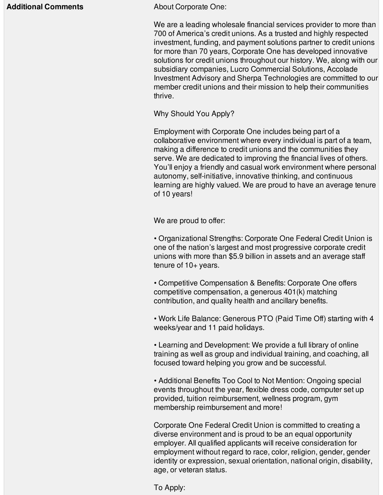## **Additional Comments About Corporate One:**

We are a leading wholesale financial services provider to more than 700 of America's credit unions. As a trusted and highly respected investment, funding, and payment solutions partner to credit unions for more than 70 years, Corporate One has developed innovative solutions for credit unions throughout our history. We, along with our subsidiary companies, Lucro Commercial Solutions, Accolade Investment Advisory and Sherpa Technologies are committed to our member credit unions and their mission to help their communities thrive.

Why Should You Apply?

Employment with Corporate One includes being part of a collaborative environment where every individual is part of a team, making a difference to credit unions and the communities they serve. We are dedicated to improving the financial lives of others. You'll enjoy a friendly and casual work environment where personal autonomy, self-initiative, innovative thinking, and continuous learning are highly valued. We are proud to have an average tenure of 10 years!

We are proud to offer:

• Organizational Strengths: Corporate One Federal Credit Union is one of the nation's largest and most progressive corporate credit unions with more than \$5.9 billion in assets and an average staff tenure of 10+ years.

• Competitive Compensation & Benefits: Corporate One offers competitive compensation, a generous 401(k) matching contribution, and quality health and ancillary benefits.

• Work Life Balance: Generous PTO (Paid Time Off) starting with 4 weeks/year and 11 paid holidays.

• Learning and Development: We provide a full library of online training as well as group and individual training, and coaching, all focused toward helping you grow and be successful.

• Additional Benefits Too Cool to Not Mention: Ongoing special events throughout the year, flexible dress code, computer set up provided, tuition reimbursement, wellness program, gym membership reimbursement and more!

Corporate One Federal Credit Union is committed to creating a diverse environment and is proud to be an equal opportunity employer. All qualified applicants will receive consideration for employment without regard to race, color, religion, gender, gender identity or expression, sexual orientation, national origin, disability, age, or veteran status.

To Apply: